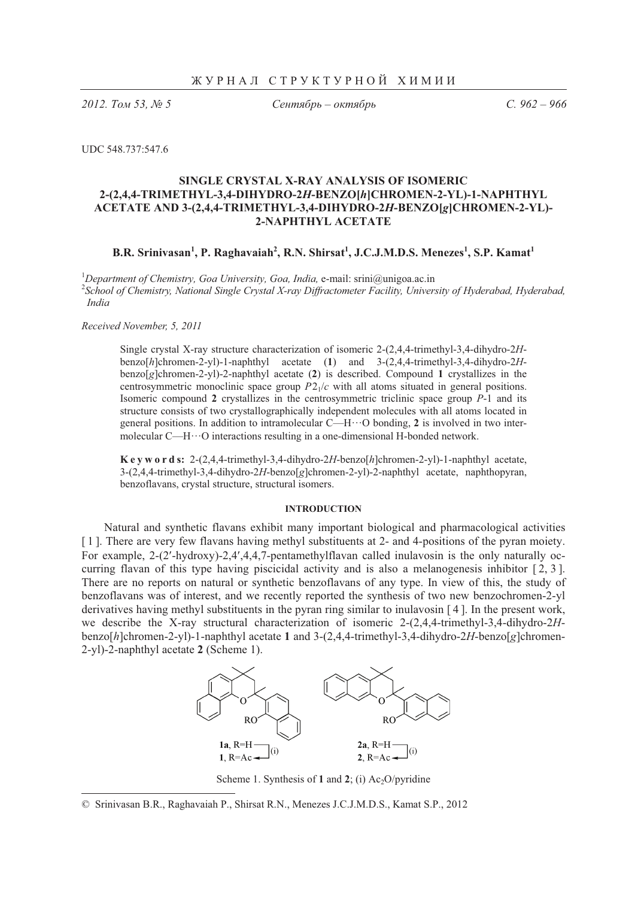*2012. Том 53, № 5* Сентя

 $Ce$ нтябрь – октябрь

*. 962 – 966*

UDC 548.737:547.6

# **SINGLE CRYSTAL X-RAY ANALYSIS OF ISOMERIC 2-(2,4,4-TRIMETHYL-3,4-DIHYDRO-2***H***-BENZO[***h***]CHROMEN-2-YL)-1-NAPHTHYL ACETATE AND 3-(2,4,4-TRIMETHYL-3,4-DIHYDRO-2***H***-BENZO[***g***]CHROMEN-2-YL)- 2-NAPHTHYL ACETATE**

**B.R. Srinivasan<sup>1</sup>, P. Raghavaiah<sup>2</sup>, R.N. Shirsat<sup>1</sup>, J.C.J.M.D.S. Menezes<sup>1</sup>, S.P. Kamat<sup>1</sup>** 

<sup>1</sup>Department of Chemistry, Goa University, Goa, India, e-mail: srini@unigoa.ac.in <sup>2</sup>Sebool of Chamistry, National Single Crostal *Y* ray Diffractomater Eacility, University <sup>2</sup> School of Chemistry, National Single Crystal X-ray Diffractometer Facility, University of Hyderabad, Hyderabad,  *India* 

*Received November, 5, 2011* 

.

Single crystal X-ray structure characterization of isomeric 2-(2,4,4-trimethyl-3,4-dihydro-2*H*benzo[*h*]chromen-2-yl)-1-naphthyl acetate (**1**) and 3-(2,4,4-trimethyl-3,4-dihydro-2*H*benzo[*g*]chromen-2-yl)-2-naphthyl acetate (**2**) is described. Compound **1** crystallizes in the centrosymmetric monoclinic space group  $P2<sub>1</sub>/c$  with all atoms situated in general positions. Isomeric compound **2** crystallizes in the centrosymmetric triclinic space group *P*-1 and its structure consists of two crystallographically independent molecules with all atoms located in general positions. In addition to intramolecular C—H-O bonding, **2** is involved in two intermolecular C—H···O interactions resulting in a one-dimensional H-bonded network.

**K e y w o r d s:** 2-(2,4,4-trimethyl-3,4-dihydro-2*H*-benzo[*h*]chromen-2-yl)-1-naphthyl acetate, 3-(2,4,4-trimethyl-3,4-dihydro-2*H*-benzo[*g*]chromen-2-yl)-2-naphthyl acetate, naphthopyran, benzoflavans, crystal structure, structural isomers.

## **INTRODUCTION**

Natural and synthetic flavans exhibit many important biological and pharmacological activities [1]. There are very few flavans having methyl substituents at 2- and 4-positions of the pyran moiety. For example, 2-(2'-hydroxy)-2,4',4,4,7-pentamethylflavan called inulavosin is the only naturally occurring flavan of this type having piscicidal activity and is also a melanogenesis inhibitor [ 2, 3 ]. There are no reports on natural or synthetic benzoflavans of any type. In view of this, the study of benzoflavans was of interest, and we recently reported the synthesis of two new benzochromen-2-yl derivatives having methyl substituents in the pyran ring similar to inulavosin [ 4 ]. In the present work, we describe the X-ray structural characterization of isomeric 2-(2,4,4-trimethyl-3,4-dihydro-2*H*benzo[*h*]chromen-2-yl)-1-naphthyl acetate **1** and 3-(2,4,4-trimethyl-3,4-dihydro-2*H*-benzo[*g*]chromen-2-yl)-2-naphthyl acetate **2** (Scheme 1).



Scheme 1. Synthesis of 1 and  $2$ ; (i) Ac<sub>2</sub>O/pyridine

<sup>©</sup> Srinivasan B.R., Raghavaiah P., Shirsat R.N., Menezes J.C.J.M.D.S., Kamat S.P., 2012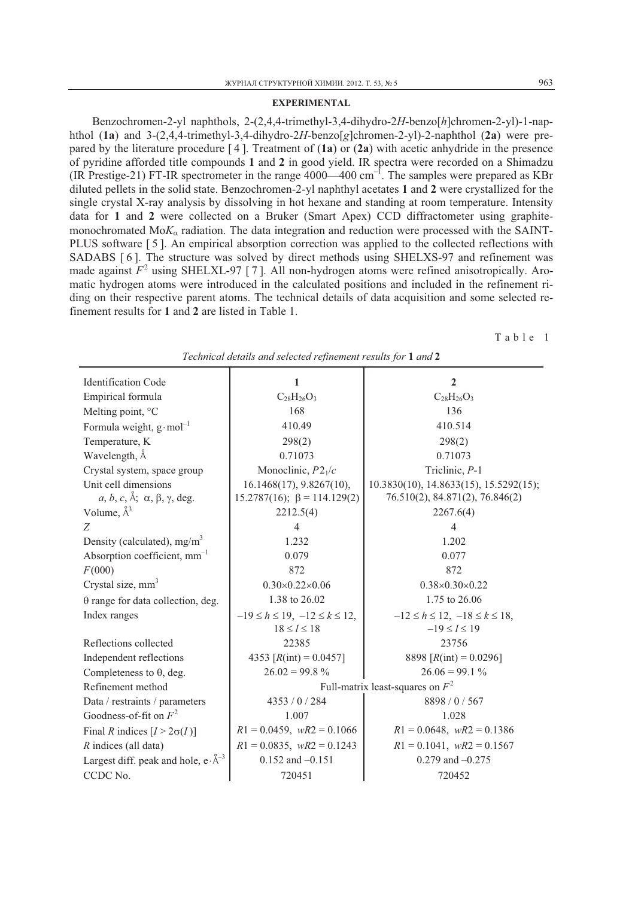### **EXPERIMENTAL**

Benzochromen-2-yl naphthols, 2-(2,4,4-trimethyl-3,4-dihydro-2*H*-benzo[*h*]chromen-2-yl)-1-naphthol (**1a**) and 3-(2,4,4-trimethyl-3,4-dihydro-2*H*-benzo[*g*]chromen-2-yl)-2-naphthol (**2a**) were prepared by the literature procedure [ 4 ]. Treatment of (**1a**) or (**2a**) with acetic anhydride in the presence of pyridine afforded title compounds **1** and **2** in good yield. IR spectra were recorded on a Shimadzu (IR Prestige-21) FT-IR spectrometer in the range  $4000-400$  cm<sup>-1</sup>. The samples were prepared as KBr diluted pellets in the solid state. Benzochromen-2-yl naphthyl acetates **1** and **2** were crystallized for the single crystal X-ray analysis by dissolving in hot hexane and standing at room temperature. Intensity data for **1** and **2** were collected on a Bruker (Smart Apex) CCD diffractometer using graphitemonochromated  $M \circ K_{\alpha}$  radiation. The data integration and reduction were processed with the SAINT-PLUS software [5]. An empirical absorption correction was applied to the collected reflections with SADABS [ 6 ]. The structure was solved by direct methods using SHELXS-97 and refinement was made against  $F^2$  using SHELXL-97 [7]. All non-hydrogen atoms were refined anisotropically. Aromatic hydrogen atoms were introduced in the calculated positions and included in the refinement riding on their respective parent atoms. The technical details of data acquisition and some selected refinement results for **1** and **2** are listed in Table 1.

Table 1

| <b>Identification Code</b>                          | 1                                                                                      | $\overline{2}$                           |  |  |  |
|-----------------------------------------------------|----------------------------------------------------------------------------------------|------------------------------------------|--|--|--|
| Empirical formula                                   | $C_{28}H_{26}O_3$                                                                      | $C_{28}H_{26}O_3$                        |  |  |  |
| Melting point, °C                                   | 168                                                                                    | 136                                      |  |  |  |
| Formula weight, $g \cdot mol^{-1}$                  | 410.49                                                                                 | 410.514                                  |  |  |  |
| Temperature, K                                      | 298(2)                                                                                 | 298(2)                                   |  |  |  |
| Wavelength, $\AA$                                   | 0.71073                                                                                | 0.71073                                  |  |  |  |
| Crystal system, space group                         | Monoclinic, $P2_1/c$                                                                   | Triclinic, P-1                           |  |  |  |
| Unit cell dimensions                                | 16.1468(17), 9.8267(10),                                                               | $10.3830(10), 14.8633(15), 15.5292(15);$ |  |  |  |
| $a, b, c, \lambda$ ; $\alpha, \beta, \gamma$ , deg. | $15.2787(16); \ \beta = 114.129(2)$                                                    | 76.510(2), 84.871(2), 76.846(2)          |  |  |  |
| Volume, $\AA^3$                                     | 2212.5(4)                                                                              | 2267.6(4)                                |  |  |  |
| Z                                                   | $\overline{4}$                                                                         | $\overline{4}$                           |  |  |  |
| Density (calculated), $mg/m3$                       | 1.232                                                                                  | 1.202                                    |  |  |  |
| Absorption coefficient, $mm^{-1}$                   | 0.079                                                                                  | 0.077                                    |  |  |  |
| F(000)                                              | 872                                                                                    | 872                                      |  |  |  |
| Crystal size, mm <sup>3</sup>                       | $0.30\times0.22\times0.06$                                                             | $0.38\times0.30\times0.22$               |  |  |  |
| $\theta$ range for data collection, deg.            | 1.38 to 26.02                                                                          | 1.75 to 26.06                            |  |  |  |
| Index ranges                                        | $-19 \le h \le 19$ , $-12 \le k \le 12$ ,<br>$-12 \le h \le 12$ , $-18 \le k \le 18$ , |                                          |  |  |  |
|                                                     | $18 \le l \le 18$                                                                      | $-19 \le l \le 19$                       |  |  |  |
| Reflections collected                               | 22385                                                                                  | 23756                                    |  |  |  |
| Independent reflections                             | 4353 $[R(int) = 0.0457]$                                                               | 8898 [ $R(int) = 0.0296$ ]               |  |  |  |
| Completeness to $\theta$ , deg.                     | $26.02 = 99.8\%$                                                                       | $26.06 = 99.1 %$                         |  |  |  |
| Refinement method                                   | Full-matrix least-squares on $F^2$                                                     |                                          |  |  |  |
| Data / restraints / parameters                      | 4353 / 0 / 284                                                                         | 8898 / 0 / 567                           |  |  |  |
| Goodness-of-fit on $F^2$                            | 1.007                                                                                  | 1.028                                    |  |  |  |
| Final R indices $[I > 2\sigma(I)]$                  | $R1 = 0.0459$ , $wR2 = 0.1066$<br>$R1 = 0.0648$ , $wR2 = 0.1386$                       |                                          |  |  |  |
| $R$ indices (all data)                              | $R1 = 0.0835$ , $wR2 = 0.1243$                                                         | $R1 = 0.1041$ , $wR2 = 0.1567$           |  |  |  |
| Largest diff. peak and hole, $e \cdot \hat{A}^{-3}$ | $0.152$ and $-0.151$                                                                   | $0.279$ and $-0.275$                     |  |  |  |
| CCDC No.                                            | 720451                                                                                 | 720452                                   |  |  |  |

*Technical details and selected refinement results for* **1** *and* **2**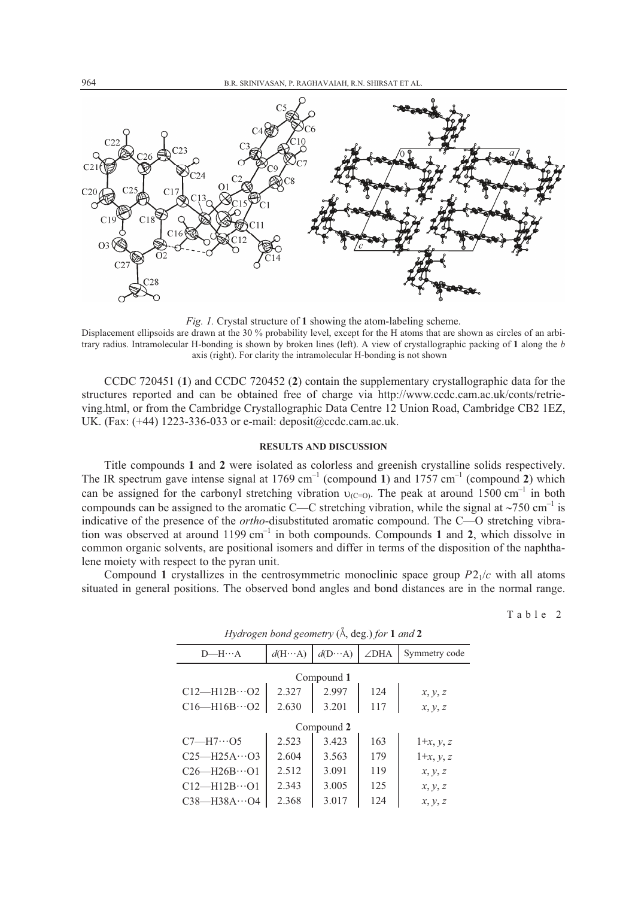

*Fig. 1.* Crystal structure of **1** showing the atom-labeling scheme.

Displacement ellipsoids are drawn at the 30 % probability level, except for the H atoms that are shown as circles of an arbitrary radius. Intramolecular H-bonding is shown by broken lines (left). A view of crystallographic packing of **1** along the *b* axis (right). For clarity the intramolecular H-bonding is not shown

CCDC 720451 (**1**) and CCDC 720452 (**2**) contain the supplementary crystallographic data for the structures reported and can be obtained free of charge via http://www.ccdc.cam.ac.uk/conts/retrieving.html, or from the Cambridge Crystallographic Data Centre 12 Union Road, Cambridge CB2 1EZ, UK. (Fax: (+44) 1223-336-033 or e-mail: deposit@ccdc.cam.ac.uk.

#### **RESULTS AND DISCUSSION**

Title compounds **1** and **2** were isolated as colorless and greenish crystalline solids respectively. The IR spectrum gave intense signal at  $1769 \text{ cm}^{-1}$  (compound **1**) and  $1757 \text{ cm}^{-1}$  (compound **2**) which can be assigned for the carbonyl stretching vibration  $v_{(C=0)}$ . The peak at around 1500 cm<sup>-1</sup> in both compounds can be assigned to the aromatic C—C stretching vibration, while the signal at  $\sim$ 750 cm<sup>-1</sup> is indicative of the presence of the *ortho*-disubstituted aromatic compound. The C—O stretching vibration was observed at around 1199 cm–1 in both compounds. Compounds **1** and **2**, which dissolve in common organic solvents, are positional isomers and differ in terms of the disposition of the naphthalene moiety with respect to the pyran unit.

Compound 1 crystallizes in the centrosymmetric monoclinic space group  $P2<sub>1</sub>/c$  with all atoms situated in general positions. The observed bond angles and bond distances are in the normal range.

Table 2

| $D$ —H $\cdots$ A       | $d(H \cdots A)$ | $d(D \cdots A)$ | $\angle$ DHA | Symmetry code |  |
|-------------------------|-----------------|-----------------|--------------|---------------|--|
| Compound 1              |                 |                 |              |               |  |
| $C12-H12B\cdots O2$     | 2.327           | 2.997           | 124          | x, y, z       |  |
| $C16 - H16B \cdots O2$  | 2.630           | 3.201           | 117          | x, y, z       |  |
| Compound 2              |                 |                 |              |               |  |
| $C7$ —H $7$ …O5         | 2.523           | 3.423           | 163          | $1+x, y, z$   |  |
| $C25-H25A\cdots$ O3     | 2.604           | 3.563           | 179          | $1+x, y, z$   |  |
| $C26$ —H $26B\cdots$ O1 | 2.512           | 3.091           | 119          | x, y, z       |  |
| $Cl2-H12B\cdots O1$     | 2.343           | 3.005           | 125          | x, y, z       |  |
| $C38$ —H38A…O4          | 2.368           | 3.017           | 124          | x, y, z       |  |

*Hydrogen bond geometry* (Å, deg.) *for* **1** *and* **2**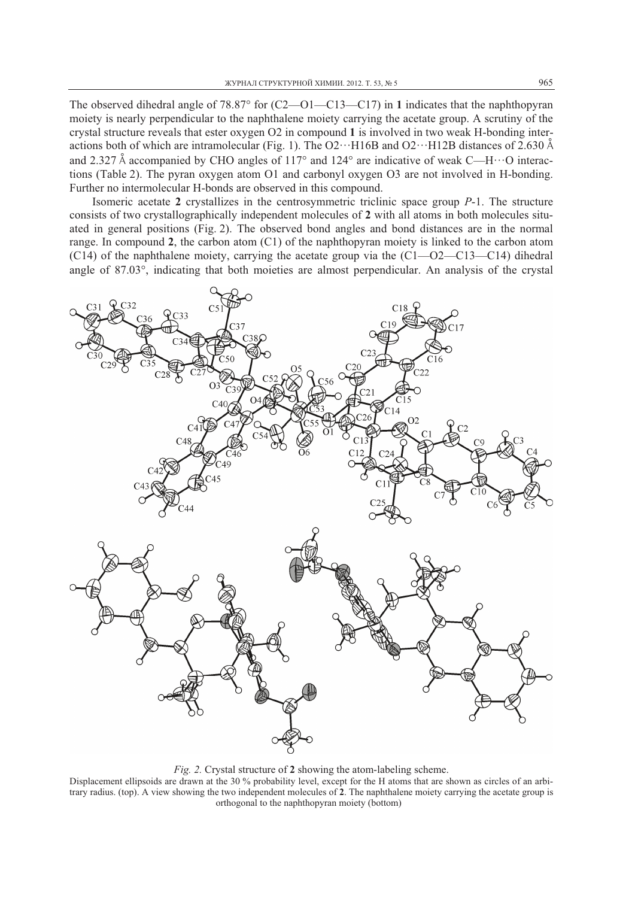The observed dihedral angle of 78.87° for (C2—O1—C13—C17) in 1 indicates that the naphthopyran moiety is nearly perpendicular to the naphthalene moiety carrying the acetate group. A scrutiny of the crystal structure reveals that ester oxygen O2 in compound **1** is involved in two weak H-bonding interactions both of which are intramolecular (Fig. 1). The O2…H16B and O2…H12B distances of 2.630 Å and 2.327 Å accompanied by CHO angles of 117 $^{\circ}$  and 124 $^{\circ}$  are indicative of weak C—H $\cdots$ O interactions (Table 2). The pyran oxygen atom O1 and carbonyl oxygen O3 are not involved in H-bonding. Further no intermolecular H-bonds are observed in this compound.

Isomeric acetate **2** crystallizes in the centrosymmetric triclinic space group *P*-1. The structure consists of two crystallographically independent molecules of **2** with all atoms in both molecules situated in general positions (Fig. 2). The observed bond angles and bond distances are in the normal range. In compound **2**, the carbon atom (C1) of the naphthopyran moiety is linked to the carbon atom  $(C14)$  of the naphthalene moiety, carrying the acetate group via the  $(C1 - O2 - C13 - C14)$  dihedral angle of 87.03°, indicating that both moieties are almost perpendicular. An analysis of the crystal



*Fig. 2.* Crystal structure of **2** showing the atom-labeling scheme.

Displacement ellipsoids are drawn at the 30 % probability level, except for the H atoms that are shown as circles of an arbitrary radius. (top). A view showing the two independent molecules of **2**. The naphthalene moiety carrying the acetate group is orthogonal to the naphthopyran moiety (bottom)